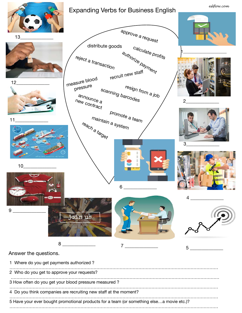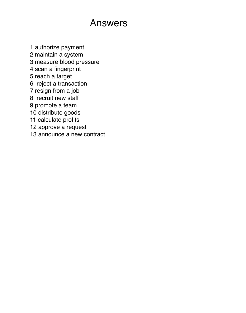## Answers

1 authorize payment 2 maintain a system 3 measure blood pressure 4 scan a fingerprint 5 reach a target 6 reject a transaction 7 resign from a job 8 recruit new staff 9 promote a team 10 distribute goods 11 calculate profits 12 approve a request 13 announce a new contract